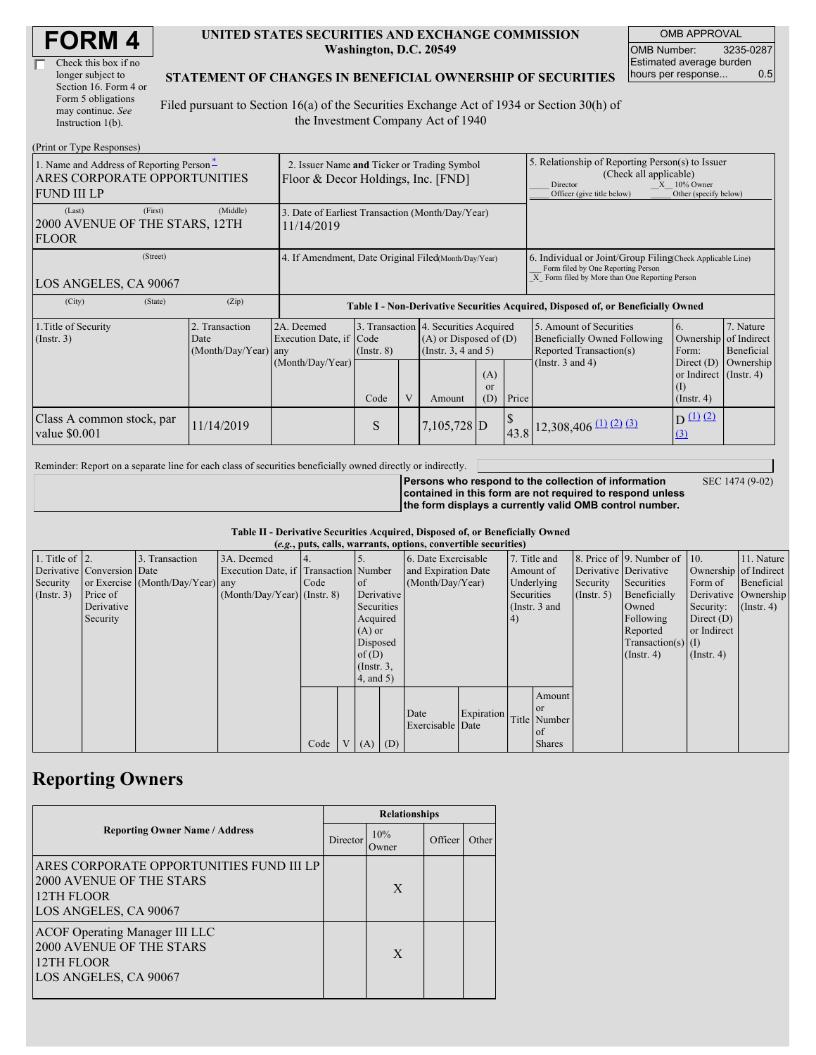| <b>FORM4</b> |
|--------------|
|--------------|

| Check this box if no  |
|-----------------------|
| longer subject to     |
| Section 16. Form 4 or |
| Form 5 obligations    |
| may continue. See     |
| Instruction 1(b).     |

#### **UNITED STATES SECURITIES AND EXCHANGE COMMISSION Washington, D.C. 20549**

OMB APPROVAL OMB Number: 3235-0287 Estimated average burden hours per response... 0.5

#### **STATEMENT OF CHANGES IN BENEFICIAL OWNERSHIP OF SECURITIES**

Filed pursuant to Section 16(a) of the Securities Exchange Act of 1934 or Section 30(h) of the Investment Company Act of 1940

| (Print or Type Responses)                                                                      |                                                                                   |                                                           |                         |   |                                                                                                                                      |  |                                                                                                                                                                   |                                                                                                             |                                                                              |                                                               |
|------------------------------------------------------------------------------------------------|-----------------------------------------------------------------------------------|-----------------------------------------------------------|-------------------------|---|--------------------------------------------------------------------------------------------------------------------------------------|--|-------------------------------------------------------------------------------------------------------------------------------------------------------------------|-------------------------------------------------------------------------------------------------------------|------------------------------------------------------------------------------|---------------------------------------------------------------|
| 1. Name and Address of Reporting Person-<br>ARES CORPORATE OPPORTUNITIES<br><b>FUND III LP</b> | 2. Issuer Name and Ticker or Trading Symbol<br>Floor & Decor Holdings, Inc. [FND] |                                                           |                         |   |                                                                                                                                      |  | 5. Relationship of Reporting Person(s) to Issuer<br>(Check all applicable)<br>$X = 10\%$ Owner<br>Director<br>Officer (give title below)<br>Other (specify below) |                                                                                                             |                                                                              |                                                               |
| (Last)<br>(First)<br>2000 AVENUE OF THE STARS, 12TH<br><b>FLOOR</b>                            | 3. Date of Earliest Transaction (Month/Day/Year)<br>11/14/2019                    |                                                           |                         |   |                                                                                                                                      |  |                                                                                                                                                                   |                                                                                                             |                                                                              |                                                               |
| (Street)<br>LOS ANGELES, CA 90067                                                              | 4. If Amendment, Date Original Filed (Month/Day/Year)                             |                                                           |                         |   |                                                                                                                                      |  | 6. Individual or Joint/Group Filing Check Applicable Line)<br>Form filed by One Reporting Person<br>X Form filed by More than One Reporting Person                |                                                                                                             |                                                                              |                                                               |
| (City)<br>(State)                                                                              | (Zip)                                                                             |                                                           |                         |   |                                                                                                                                      |  |                                                                                                                                                                   | Table I - Non-Derivative Securities Acquired, Disposed of, or Beneficially Owned                            |                                                                              |                                                               |
| 1. Title of Security<br>$($ Instr. 3 $)$                                                       | 2. Transaction<br>Date<br>$(Month/Day/Year)$ any                                  | 2A. Deemed<br>Execution Date, if Code<br>(Month/Day/Year) | $($ Instr. $8)$<br>Code | V | 3. Transaction 4. Securities Acquired<br>$(A)$ or Disposed of $(D)$<br>(Insert. 3, 4 and 5)<br>(A)<br><sub>or</sub><br>(D)<br>Amount |  | Price                                                                                                                                                             | 5. Amount of Securities<br>Beneficially Owned Following<br>Reported Transaction(s)<br>(Instr. $3$ and $4$ ) | 6.<br>Form:<br>Direct $(D)$<br>or Indirect $($ Instr. 4)<br>$($ Instr. 4 $)$ | 7. Nature<br>Ownership of Indirect<br>Beneficial<br>Ownership |
| Class A common stock, par<br>value \$0.001                                                     | 11/14/2019                                                                        |                                                           | S                       |   | 7,105,728 D                                                                                                                          |  |                                                                                                                                                                   | $\left  43.8 \right $ 12,308,406 (1) (2) (3)                                                                | D(1)(2)<br>(3)                                                               |                                                               |

Reminder: Report on a separate line for each class of securities beneficially owned directly or indirectly.

**Persons who respond to the collection of information contained in this form are not required to respond unless the form displays a currently valid OMB control number.** SEC 1474 (9-02)

**Table II - Derivative Securities Acquired, Disposed of, or Beneficially Owned**

| (e.g., puts, calls, warrants, options, convertible securities) |                            |                                  |                                       |      |                |                 |  |                     |            |            |               |                       |                              |                  |                       |
|----------------------------------------------------------------|----------------------------|----------------------------------|---------------------------------------|------|----------------|-----------------|--|---------------------|------------|------------|---------------|-----------------------|------------------------------|------------------|-----------------------|
| 1. Title of $\vert$ 2.                                         |                            | 3. Transaction                   | 3A. Deemed                            |      |                |                 |  | 6. Date Exercisable |            |            | 7. Title and  |                       | 8. Price of 9. Number of 10. |                  | 11. Nature            |
|                                                                | Derivative Conversion Date |                                  | Execution Date, if Transaction Number |      |                |                 |  | and Expiration Date |            | Amount of  |               | Derivative Derivative |                              |                  | Ownership of Indirect |
| Security                                                       |                            | or Exercise (Month/Day/Year) any |                                       | Code |                | <sub>of</sub>   |  | (Month/Day/Year)    |            |            | Underlying    | Security              | Securities                   | Form of          | Beneficial            |
| $($ Instr. 3 $)$                                               | Price of                   |                                  | $(Month/Day/Year)$ (Instr. 8)         |      |                | Derivative      |  |                     |            | Securities |               | (Insert, 5)           | Beneficially                 |                  | Derivative Ownership  |
|                                                                | Derivative                 |                                  |                                       |      |                | Securities      |  |                     |            |            | (Instr. 3 and |                       | Owned                        | Security:        | $($ Instr. 4 $)$      |
|                                                                | Security                   |                                  |                                       |      |                | Acquired        |  |                     |            | 4)         |               |                       | Following                    | Direct $(D)$     |                       |
|                                                                |                            |                                  |                                       |      |                | $(A)$ or        |  |                     |            |            |               |                       | Reported                     | or Indirect      |                       |
|                                                                |                            |                                  |                                       |      |                | Disposed        |  |                     |            |            |               |                       | Transaction(s) $(I)$         |                  |                       |
|                                                                |                            |                                  |                                       |      |                | of(D)           |  |                     |            |            |               |                       | $($ Instr. 4 $)$             | $($ Instr. 4 $)$ |                       |
|                                                                |                            |                                  |                                       |      |                | $($ Instr. $3,$ |  |                     |            |            |               |                       |                              |                  |                       |
|                                                                |                            |                                  |                                       |      |                | 4, and 5)       |  |                     |            |            |               |                       |                              |                  |                       |
|                                                                |                            |                                  |                                       |      |                |                 |  |                     |            |            | Amount        |                       |                              |                  |                       |
|                                                                |                            |                                  |                                       |      |                |                 |  | Date                | Expiration |            | <sub>or</sub> |                       |                              |                  |                       |
|                                                                |                            |                                  |                                       |      |                |                 |  | Exercisable Date    |            |            | Title Number  |                       |                              |                  |                       |
|                                                                |                            |                                  |                                       |      |                |                 |  |                     |            |            | of            |                       |                              |                  |                       |
|                                                                |                            |                                  |                                       | Code | V <sub>1</sub> | $(A)$ $(D)$     |  |                     |            |            | <b>Shares</b> |                       |                              |                  |                       |

### **Reporting Owners**

|                                                                                                             | <b>Relationships</b> |              |         |       |  |  |  |
|-------------------------------------------------------------------------------------------------------------|----------------------|--------------|---------|-------|--|--|--|
| <b>Reporting Owner Name / Address</b>                                                                       | Director             | 10%<br>Owner | Officer | Other |  |  |  |
| ARES CORPORATE OPPORTUNITIES FUND III LP<br>2000 AVENUE OF THE STARS<br>12TH FLOOR<br>LOS ANGELES, CA 90067 |                      | X            |         |       |  |  |  |
| <b>ACOF Operating Manager III LLC</b><br>2000 AVENUE OF THE STARS<br>12TH FLOOR<br>LOS ANGELES, CA 90067    |                      | X            |         |       |  |  |  |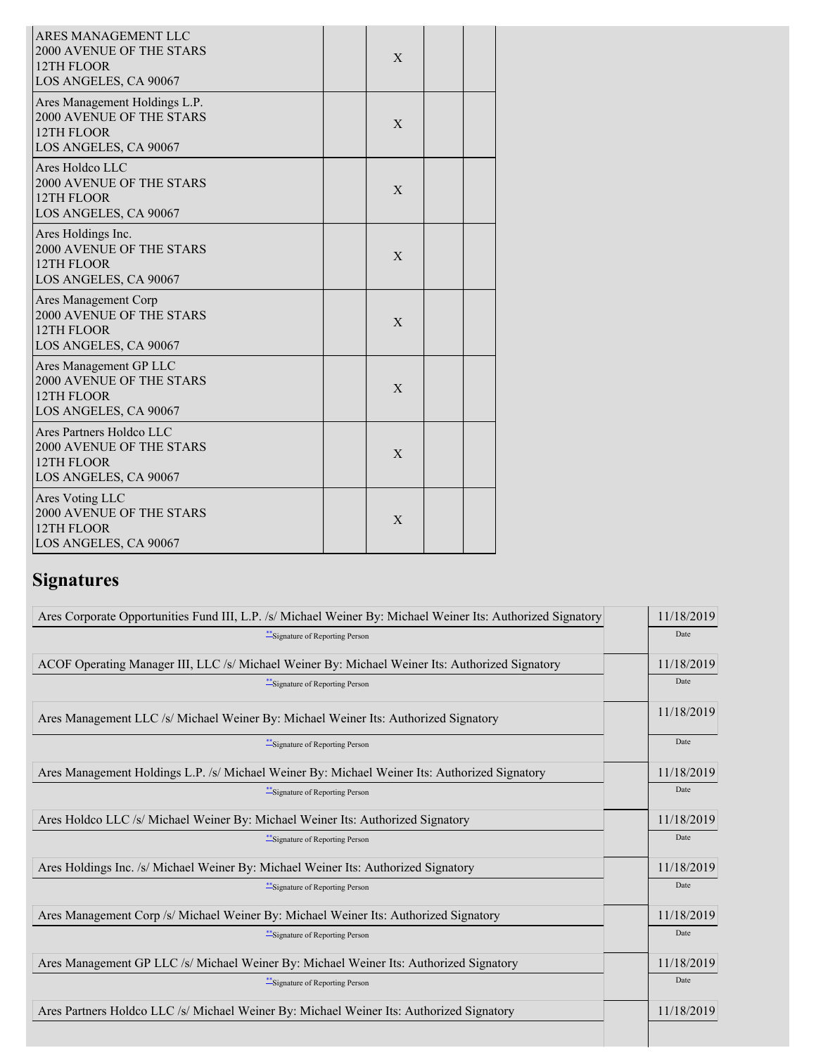| ARES MANAGEMENT LLC<br><b>2000 AVENUE OF THE STARS</b><br>12TH FLOOR<br>LOS ANGELES, CA 90067      | X |  |
|----------------------------------------------------------------------------------------------------|---|--|
| Ares Management Holdings L.P.<br>2000 AVENUE OF THE STARS<br>12TH FLOOR<br>LOS ANGELES, CA 90067   | X |  |
| Ares Holdco LLC<br>2000 AVENUE OF THE STARS<br>12TH FLOOR<br>LOS ANGELES, CA 90067                 | X |  |
| Ares Holdings Inc.<br><b>2000 AVENUE OF THE STARS</b><br>12TH FLOOR<br>LOS ANGELES, CA 90067       | X |  |
| <b>Ares Management Corp</b><br>2000 AVENUE OF THE STARS<br>12TH FLOOR<br>LOS ANGELES, CA 90067     | X |  |
| Ares Management GP LLC<br>2000 AVENUE OF THE STARS<br>12TH FLOOR<br>LOS ANGELES, CA 90067          | X |  |
| Ares Partners Holdco LLC<br><b>2000 AVENUE OF THE STARS</b><br>12TH FLOOR<br>LOS ANGELES, CA 90067 | X |  |
| Ares Voting LLC<br>2000 AVENUE OF THE STARS<br>12TH FLOOR<br>LOS ANGELES, CA 90067                 | X |  |

# **Signatures**

| Ares Corporate Opportunities Fund III, L.P. /s/ Michael Weiner By: Michael Weiner Its: Authorized Signatory | 11/18/2019 |
|-------------------------------------------------------------------------------------------------------------|------------|
| *** Signature of Reporting Person                                                                           | Date       |
| ACOF Operating Manager III, LLC /s/ Michael Weiner By: Michael Weiner Its: Authorized Signatory             | 11/18/2019 |
| ***Signature of Reporting Person                                                                            | Date       |
| Ares Management LLC /s/ Michael Weiner By: Michael Weiner Its: Authorized Signatory                         | 11/18/2019 |
| *** Signature of Reporting Person                                                                           | Date       |
| Ares Management Holdings L.P. /s/ Michael Weiner By: Michael Weiner Its: Authorized Signatory               | 11/18/2019 |
| *** Signature of Reporting Person                                                                           | Date       |
| Ares Holdco LLC /s/ Michael Weiner By: Michael Weiner Its: Authorized Signatory                             | 11/18/2019 |
| *** Signature of Reporting Person                                                                           | Date       |
| Ares Holdings Inc. /s/ Michael Weiner By: Michael Weiner Its: Authorized Signatory                          | 11/18/2019 |
| *** Signature of Reporting Person                                                                           | Date       |
| Ares Management Corp /s/ Michael Weiner By: Michael Weiner Its: Authorized Signatory                        | 11/18/2019 |
| *** Signature of Reporting Person                                                                           | Date       |
| Ares Management GP LLC /s/ Michael Weiner By: Michael Weiner Its: Authorized Signatory                      | 11/18/2019 |
| **Signature of Reporting Person                                                                             | Date       |
| Ares Partners Holdco LLC /s/ Michael Weiner By: Michael Weiner Its: Authorized Signatory                    | 11/18/2019 |
|                                                                                                             |            |